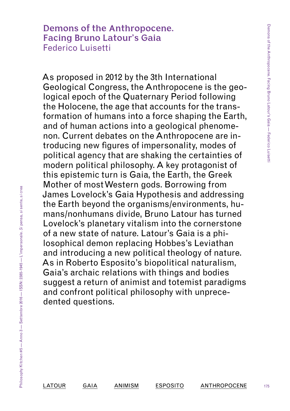# **Demons of the Anthropocene. Facing Bruno Latour's Gaia** Federico Luisetti

As proposed in 2012 by the 3th International Geological Congress, the Anthropocene is the geological epoch of the Quaternary Period following the Holocene, the age that accounts for the transformation of humans into a force shaping the Earth, and of human actions into a geological phenomenon. Current debates on the Anthropocene are introducing new figures of impersonality, modes of political agency that are shaking the certainties of modern political philosophy. A key protagonist of this epistemic turn is Gaia, the Earth, the Greek Mother of most Western gods. Borrowing from James Lovelock's Gaia Hypothesis and addressing the Earth beyond the organisms/environments, humans/nonhumans divide, Bruno Latour has turned Lovelock's planetary vitalism into the cornerstone of a new state of nature. Latour's Gaia is a philosophical demon replacing Hobbes's Leviathan and introducing a new political theology of nature. As in Roberto Esposito's biopolitical naturalism, Gaia's archaic relations with things and bodies suggest a return of animist and totemist paradigms and confront political philosophy with unprecedented questions.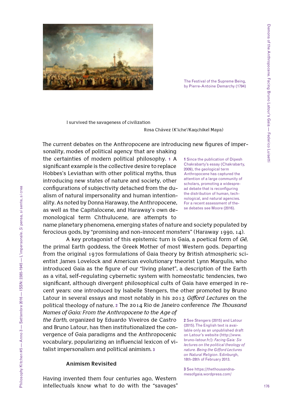

The Festival of the Supreme Being, by Pierre-Antoine Demarchy (1794)

I survived the savageness of civilization

Rosa Chávez (K'iche'/Kaqchikel Maya)

The current debates on the Anthropocene are introducing new figures of imper-

sonality, modes of political agency that are shaking the certainties of modern political philosophy. **1** A significant example is the collective desire to replace Hobbes's Leviathan with other political myths, thus introducing new states of nature and society, other configurations of subjectivity detached from the dualism of natural impersonality and human intentionality. As noted by Donna Haraway, the Anthropocene, as well as the Capitalocene, and Haraway's own demonological term Chthulucene, are attempts to

**1** Since the publication of Dipesh Chakrabarty's essay (Chakrabarty, 2009), the geological term Anthropocene has captured the attention of a large community of scholars, promoting a widespread debate that is reconfiguring the distribution of human, technological, and natural agencies. For a recent assessment of these debates see Moore (2016).

name planetary phenomena, emerging states of nature and society populated by ferocious gods, by "promising and non-innocent monsters" (Haraway 1990, 14).

A key protagonist of this epistemic turn is Gaia, a poetical form of *Gē*, the primal Earth goddess, the Greek Mother of most Western gods. Departing from the original 1970s formulations of Gaia theory by British atmospheric scientist James Lovelock and American evolutionary theorist Lynn Margulis, who introduced Gaia as the figure of our "living planet", a description of the Earth as a vital, self-regulating cybernetic system with homeostatic tendencies, two significant, although divergent philosophical cults of Gaia have emerged in recent years: one introduced by Isabelle Stengers, the other promoted by Bruno Latour in several essays and most notably in his 2013 *Gifford Lectures* on the political theology of nature. **2** The 2014 Rio de Janeiro conference *The Thousand* 

*Names of Gaia: From the Anthropocene to the Age of the Earth*, organized by Eduardo Viveiros de Castro and Bruno Latour, has then institutionalized the convergence of Gaia paradigms and the Anthropocenic vocabulary, popularizing an influencial lexicon of vitalist impersonalism and political animism. **3**

## **Animism Revisited**

Having invented them four centuries ago, Western intellectuals know what to do with the "savages" **2** See Stengers (2015) and Latour (2015). The English text is available only as an unpublished draft on Latour's website ([http://www.](http://www.bruno-latour.fr/) [bruno-latour.fr/](http://www.bruno-latour.fr/)): *Facing Gaia: Six lectures on the political theology of nature. Being the Gifford Lectures on Natural Religion*. Edinburgh, 18th-28th of February 2013.

**3** See [https://thethousandna](https://thethousandnamesofgaia.wordpress.com/)[mesofgaia.wordpress.com/](https://thethousandnamesofgaia.wordpress.com/)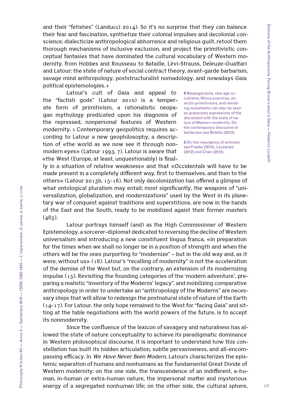and their "fetishes" (Landucci 2014). So it's no surprise that they can balance their fear and fascination, synthetize their colonial impulses and decolonial conscience, dialecticize anthropological abhorrence and religious guilt, retool them thorough mechanisms of inclusive exclusion, and project the primitivistic conceptual fantasies that have dominated the cultural vocabulary of Western modernity, from Hobbes and Rousseau to Bataille, Lévi-Strauss, Deleuze-Guattari and Latour: the state of nature of social contract theory, avant-garde barbarism, savage mind anthropology, poststructuralist nomadology, and nowadays Gaia political epistemologies. **4**

Latour's cult of Gaia and appeal to the "factish gods" (Latour 2010) is a temperate form of primitivism, a rationalistic neopagan mythology predicated upon his diagnosis of the repressed, nonpersonal features of Western modernity. **5** Contemporary geopolitics requires according to Latour a new geophilosophy, a description of «the world as we now see it through nonmodern eyes» (Latour 1993, 7). Latour is aware that «the West (Europe, at least, unquestionably) is final-

**4** Neopaganisms, new age occultisms, Wicca practices, anarcho-primitivisms, and rewilding movements can also be seen as grassroots expressions of the discontent with the state of nature of Western modernity. On the contemporary discourse of barbarism see Boletsi (2013).

**5** On the resurgence of animism see Franke (2010), Lazzarato (2012) and [Chen](https://www.dukeupress.edu/Catalog/ProductList.php?viewby=author&lastname=Chen&firstname=Mel&middlename=Y.&aID=1163517&sort=) (2012).

ly in a situation of relative weakness» and that «Occidentals will have to be made present in a completely different way, first to themselves, and then to the others» (Latour 2013b, 15-16). Not only decolonization has offered a glimpse of what ontological pluralism may entail; most significantly, the weapons of "universalization, globalization, and modernizations" used by the West in its planetary war of conquest against traditions and superstitions, are now in the hands of the East and the South, ready to be mobilized agaist their former masters  $(485)$ .

Latour portrays himself (and) as the High Commissioner of Western Epistemology, a sorcerer-diplomat dedicated to reversing the decline of Western universalism and introducing a new constituent lingua franca, «in preparation for the times when we shall no longer be in a position of strength and when the others will be the ones purporting to "modernize" – but in the old way and, as it were, without us» (16). Latour's "recalling of modernity" is not the acceleration of the demise of the West but, on the contrary, an extension of its modernizing impulse (15). Revisiting the founding categories of the 'modern adventure', preparing a realistic "inventory of the Moderns' legacy", and mobilizing comparative anthropology in order to undertake an "anthropology of the Moderns" are necessary steps that will allow to redesign the postnatural state of nature of the Earth (14-17). For Latour, the only hope remained to the West for "facing Gaia" and sitting at the table negotiations with the world powers of the future, is to accept its nonmodernity.

Since the confluence of the lexicon of savagery and naturalness has allowed the state of nature conceptuality to achieve its paradigmatic dominance in Western philosophical discourse, it is important to understand how this constellation has built its hidden articulation, subtle pervasiveness, and all-encompassing efficacy. In *We Have Never Been Modern*, Latours characterizes the epistemic separation of humans and nonhumans as the fundamental Great Divide of Western modernity: on the one side, the transcendence of an indifferent, a-human, in-human or extra-human nature, the impersonal matter and mysterious energy of a segregated nonhuman life; on the other side, the cultural sphere,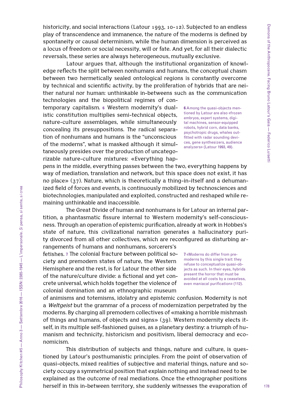historicity, and social interactions (Latour 1993, 10-12). Subjected to an endless play of transcendence and immanence, the nature of the moderns is defined by spontaneity or causal determinism, while the human dimension is perceived as a locus of freedom or social necessity, will or fate. And yet, for all their dialectic reversals, these series are always heterogeneous, mutually exclusive.

Latour argues that, although the institutional organization of knowledge reflects the split between nonhumans and humans, the conceptual chasm between two hermetically sealed ontological regions is constantly overcome by technical and scientific activity, by the proliferation of hybrids that are neither natural nor human: unthinkable in-betweens such as the communication technologies and the biopolitical regimes of con-

temporary capitalism. **6** Western modernity's dualistic constitution multiplies semi-technical objects, nature-culture assemblages, while simultaneously concealing its presuppositions. The radical separation of nonhumans and humans is the "unconscious of the moderns", what is masked although it simultaneously presides over the production of uncategorizable nature-culture mixtures: «Everything hap-

pens in the middle, everything passes between the two, everything happens by way of mediation, translation and network, but this space does not exist, it has no place» (37). Nature, which is theoretically a thing-in-itself and a dehumanized field of forces and events, is continuously mobilized by technosciences and biotechnologies, manipulated and exploited, constructed and reshaped while remaining unthinkable and inaccessible.

The Great Divide of human and nonhumans is for Latour an internal partition, a phantasmatic fissure internal to Western modernity's self-consciousness. Through an operation of epistemic purification, already at work in Hobbes's state of nature, this civilizational narration generates a hallucinatory purity divorced from all other collectives, which are reconfigured as disturbing ar-

rangements of humans and nonhumans, sorcerers's fetishes. **7** The colonial fracture between political society and premodern states of nature, the Western Hemisphere and the rest, is for Latour the other side of the nature/culture divide: a fictional and yet concrete universal, which holds together the violence of colonial domination and an ethnographic museum

of animisms and totemisms, idolatry and epistemic confusion. Modernity is not a *Weltgeist* but the grammar of a process of modernization perpetrated by the moderns. By charging all premodern collectives of «making a horrible mishmash of things and humans, of objects and signs» (39). Western modernity elects itself, in its multiple self-fashioned guises, as a planetary destiny: a triumph of humanism and technicity, historicism and positivism, liberal democracy and economicism.

This distribution of subjects and things, nature and culture, is questioned by Latour's posthumanistic principles. From the point of observation of quasi-objects, mixed realities of subjective and material things, nature and society occupy a symmetrical position that explain nothing and instead need to be explained as the outcome of real mediations. Once the ethnographer positions herself in this in-between territory, she suddenly witnesses the evaporation of

embryos, expert systems, digital machines, sensor-equipped robots, hybrid corn, data banks, psychotropic drugs, whales outfitted with radar sounding devices, gene synthesizers, audience analyzers» (Latour 1993, 49).

**7** «Moderns do differ from premoderns by this single trait: they refuse to conceptualize quasi-objects as such. In their eyes, hybrids present the horror that must be avoided at all costs by a ceaseless, even maniacal purification» (112).

**6** Among the quasi-objects mentioned by Latour are also «frozen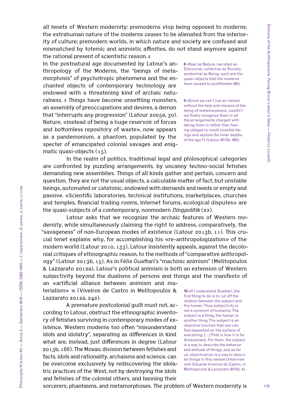all tenets of Western modernity: premoderns stop being opposed to moderns; the extrahuman nature of the moderns ceases to be alienated from the interiority of culture; premodern worlds, in which nature and society are confused and mismatched by totemic and animistic affinities, do not stand anymore against the rational present of scientistic reason. **8**

In the postnatural age documented by Latour's anthropology of the Moderns, the "beings of metamorphosis" of psychotropic phenomena and the enchanted objects of contemporary technology are endowed with a threatening kind of archaic naturalness. **9** Things have become unsettling monsters, an assembly of preoccupations and desires, a demon that "interrupts any progression" (Latour 2005a, 30). Nature, «instead of being a huge reservoir of forces and bottomless repository of waste», now appears as a pandemonium, a phantom, populated by the specter of emancipated colonial savages and enigmatic quasi-objects  $(15)$ .

**8** «Real as Nature, narrated as Discourse, collective as Society, existential as Being: such are the quasi-objects that the moderns have caused to proliferate» (90).

**9** «Since we can't live an instant without the help and menace of the being of metamorphosis, couldn't we finally recognize them in all the arrangements charged with taking them in rather than feeling obliged to insult invisible beings and explore the inner depths of the ego?» (Latour 2013b, 482).

In the realm of politics, traditional legal and philosophical categories are confronted by puzzling arrangements, by uncanny techno-social fetishes demanding new assemblies. Things of all kinds gather and pertain, concern and question. They are not the usual objects, a calculable matter of fact, but unstable beings, automated or catatonic, endowed with demands and needs or empty and passive. «Scientific laboratories, technical institutions, marketplaces, churches and temples, financial trading rooms, Internet forums, ecological disputes» are the quasi-subjects of a contemporary, nonmodern *Dingpolitik* (22).

Latour asks that we recognize the archaic features of Western modernity, while simultaneously claiming the right to address, comparatively, the "savageness" of non-European modes of existence (Latour 2013b, 11). This crucial tenet explains why, for accomplishing his «re-anthropologization» of the modern world (Latour 2010, 133), Latour insistently appeals, against the decolonial critiques of ethnographic reason, to the methods of "comparative anthropology" (Latour 2013b, 15). As in Félix Guattari's "machinic animism" (Melitopoulos & Lazzarato 2012a), Latour's political animism is both an extension of Western subjectivity beyond the dualisms of persons and things and the manifesto of an «artificial alliance between animism and ma-

terialism» **10** (Viveiros de Castro in Melitopoulos & Lazzarato 2012a, 242).

A premature postcolonial guilt must not, according to Latour, obstruct the ethnographic inventory of fetishes surviving in contemporary modes of existence. Western moderns too often "misunderstand idols and idolatry", separating as differences in kind what are, instead, just differences in degree (Latour 2013b, 166). The Mosaic division between fetishes and facts, idols and rationality, archaisms and science, can be overcome exclusively by rediscovering the idolatric practices of the West, not by destroying the idols and fetishes of the colonial others, and banning their

**10** «If I understand Guattari, the first thing to do is to cut off the relation between the subject and the human. Thus subjectivity is not a synonym of humanity. The subject is a thing, the human is another thing. The subject is an objective function that one can find deposited on the surface of everything. […] That is how it is for Amazonians. For them, the subject is a way to describe the behavior and attitude of things, just as for us, objectivation is a way to describe things in this sense» (Interview with Eduardo Viveiros de Castro, in Melitopoulos & Lazzarato 2012b, 4).

sorcerers, phantasms, and metamorphoses. The problem of Western modernity is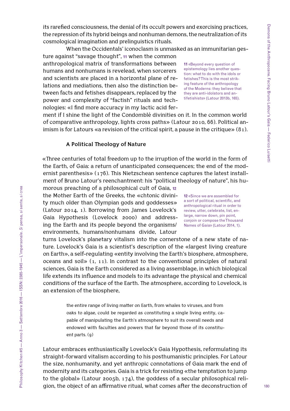180

its rarefied consciousness, the denial of its occult powers and exorcising practices, the repression of its hybrid beings and nonhuman demons, the neutralization of its cosmological imagination and prelinguistics rituals.

When the Occidentals' iconoclasm is unmasked as an immunitarian ges-

ture against "savage thought", **11** when the common anthropological matrix of transformations between humans and nonhumans is revelead, when sorcerers and scientists are placed in a horizontal plane of relations and mediations, then also the distinction between facts and fetishes disappears, replaced by the power and complexity of "factish" rituals and technologies: «I find more accuracy in my lactic acid fer-

**11** «Beyond every question of epistemology lies another question: what to do with the idols or fetishes? This is the most striking feature of the anthropology of the Moderns: they believe that they are anti-idolators and antifetishists» (Latour 2013b, 165).

ment if I shine the light of the Condomblé divinities on it. In the common world of comparative anthropology, lights cross paths» (Latour 2010, 66). Political animism is for Latours «a revision of the critical spirit, a pause in the critique» (81).

## **A Political Theology of Nature**

«Three centuries of total freedom up to the irruption of the world in the form of the Earth, of Gaia: a return of unanticipated consequences; the end of the modernist parenthesis» (176). This Nietzschean sentence captures the latest installment of Bruno Latour's reenchantment: his "political theology of nature", his hu-

morous preaching of a philosophical cult of Gaia, **12** the Mother Earth of the Greeks, the «chtonic divinity much older than Olympian gods and goddesses» (Latour 2014, 1). Borrowing from James Lovelock's Gaia Hypothesis (Lovelock 2000) and addressing the Earth and its people beyond the organisms/ environments, humans/nonhumans divide, Latour

turns Lovelock's planetary vitalism into the cornerstone of a new state of nature. Lovelock's Gaia is a scientist's description of the «largest living creature on Earth», a self-regulating «entity involving the Earth's biosphere, atmosphere, oceans and soil»  $(1, 11)$ . In contrast to the conventional principles of natural sciences, Gaia is the Earth considered as a living assemblage, in which biological life extends its influence and models to its advantage the physical and chemical conditions of the surface of the Earth. The atmosphere, according to Lovelock, is an extension of the biosphere,

> the entire range of living matter on Earth, from whales to viruses, and from oaks to algae, could be regarded as constituting a single living entity, capable of manipulating the Earth's atmosphere to suit its overall needs and endowed with faculties and powers that far beyond those of its constituent parts. (9)

Latour embraces enthusiastically Lovelock's Gaia Hypothesis, reformulating its straight-forward vitalism according to his posthumanistic principles. For Latour the size, nonhumanity, and yet anthropic connotations of Gaia mark the end of modernity and its categories. Gaia is a trick for resisting «the temptation to jump to the global» (Latour 2005b, 174), the goddess of a secular philosophical religion, the object of an affirmative ritual, what comes after the deconstruction of

**12** «Since we are assembled for a sort of political, scientific, and anthropological ritual in order to review, utter, celebrate, list, enlarge, narrow down, pin point, conjoin or compose the Thousand Names of Gaia» (Latour 2014, 1).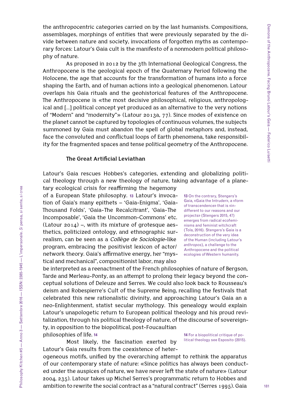the anthropocentric categories carried on by the last humanists. Compositions, assemblages, morphings of entities that were previously separated by the divide between nature and society, invocations of forgotten myths as contemporary forces: Latour's Gaia cult is the manifesto of a nonmodern political philosophy of nature.

As proposed in 2012 by the 3th International Geological Congress, the Anthropocene is the geological epoch of the Quaternary Period following the Holocene, the age that accounts for the transformation of humans into a force shaping the Earth, and of human actions into a geological phenomenon. Latour overlaps his Gaia rituals and the geohistorical features of the Anthropocene. The Anthropocene is «the most decisive philosophical, religious, anthropological and […] political concept yet produced as an alternative to the very notions of "Modern" and "modernity"» (Latour 2013a, 77). Since modes of existence on the planet cannot be captured by topologies of continuous volumes, the subjects summoned by Gaia must abandon the spell of global metaphors and, instead, face the convoluted and conflictual loops of Earth phenomena, take responsibility for the fragmented spaces and tense political geometry of the Anthropocene.

### **The Great Artificial Leviathan**

Latour's Gaia rescues Hobbes's categories, extending and globalizing political theology through a new theology of nature, taking advantage of a plane-

tary ecological crisis for reaffirming the hegemony of a European State philosophy. **13** Latour's invocation of Gaia's many epithets – 'Gaia-Enigma', 'Gaia-Thousand Folds', 'Gaia-The Recalcitrant', 'Gaia-The Incomposable', 'Gaia the Uncommon-Commons' etc. (Latour 2014) –, with its mixture of grotesque aesthetics, politicized ontology, and ethnographic surrealism, can be seen as a *Collège de Sociologie*-like program, embracing the positivist lexicon of actor/ network theory. Gaia's affirmative energy, her "mystical and mechanical", compositionist labor, may also

13 On the contrary, Stengers's Gaia, «Gaia the Intruder», a «form of transcendence» that is «indifferent to our reasons and our projects» (Stengers 2015, 47) emerges from radical ecofeminisms and feminist witchcraft (Tola, 2016). Stengers's Gaia is a deconstruction of the very idea of the Human (including Latour's *anthropos*), a challenge to the Anthropocene and the political ecologies of Western humanity.

be interpreted as a reenactment of the French philosophies of nature of Bergson, Tarde and Merleau-Ponty, as an attempt to prolong their legacy beyond the conceptual solutions of Deleuze and Serres. We could also look back to Rousseau's deism and Robespierre's Cult of the Supreme Being, recalling the festivals that celebrated this new rationalistic divinity, and approaching Latour's Gaia an a neo-Enlightenment, statist secular mythology. This genealogy would explain Latour's unapologetic return to European political theology and his proud revitalization, through his political theology of nature, of the discourse of sovereignty, in opposition to the biopolitical, post-Foucaultian philosophies of life. **14**

Most likely, the fascination exerted by Latour's Gaia results from the coexistence of heter-

ogeneous motifs, unified by the overarching attempt to rethink the apparatus of our contemporary state of nature: «Since politics has always been conducted under the auspices of nature, we have never left the state of nature» (Latour 2004, 235). Latour takes up Michel Serres's programmatic return to Hobbes and ambition to rewrite the social contract as a "natural contract" (Serres 1995). Gaia

**14** For a biopolitical critique of political theology see Esposito (2015).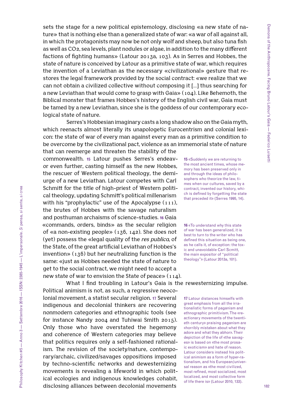sets the stage for a new political epistemology, disclosing «a new state of nature» that is nothing else than a generalized state of war: «a war of all against all, in which the protagonists may now be not only wolf and sheep, but also tuna fish as well as CO2, sea levels, plant nodules or algae, in addition to the many different factions of fighting humans» (Latour 2013a, 103). As in Serres and Hobbes, the state of nature is conceived by Latour as a primitive state of war, which requires the invention of a Leviathan as the necessary «civilizational» gesture that restores the legal framework provided by the social contract: «we realize that we can not obtain a civilized collective without composing it […] thus searching for a new Leviathan that would come to grasp with Gaia» (104). Like Behemoth, the Biblical monster that frames Hobbes's history of the English civil war, Gaia must be tamed by a new Leviathan, since she is the goddess of our contemporary ecological state of nature.

Serres's Hobbesian imaginary casts a long shadow also on the Gaia myth, which reenacts almost literally its unapologetic Eurocentrism and colonial lexicon: the state of war of every man against every man as a primitive condition to be overcome by the civilizational pact, violence as an immemorial state of nature

that can reemerge and threaten the stability of the commonwealth. **15** Latour pushes Serres's endeavor even further, casting himself as the new Hobbes, the rescuer of Western political theology, the demiurge of a new Leviathan. Latour competes with Carl Schmitt for the title of high-priest of Western political theology, updating Schmitt's political millenarism with his "prophylactic" use of the Apocalypse  $(111)$ , the brutes of Hobbes with the savage naturalism and posthuman archaisms of science-studies. **16** Gaia «commands, orders, binds» as the secular religion of «a non-existing people» (136, 142). She does not (yet) possess the «legal quality of the *res publica*, of the State, of the great artificial Leviathan of Hobbes's invention» (136) but her neutralizing function is the same: «just as Hobbes needed the state of nature to get to the social contract, we might need to accept a new state of war to envision the State of peace»  $(114)$ .

Only those who have overstated the hegemony and coherence of Western categories may believe that politics requires only a self-fashioned rationalism. The revision of the society/nature, contemporary/archaic, civilized/savages oppositions imposed by techno-scientific networks and dewesternizing movements is revealing a lifeworld in which political ecologies and indigenous knowledges cohabit, disclosing alliances between decolonial movements

**15** «Suddenly we are returning to the most ancient times, whose memory has been preserved only in and through the ideas of philosophers who theorize the law, times when our cultures, saved by a contract, invented our history, which is defined by forgetting the state that preceded it» (Serres 1995, 14).

**16** «To understand why this state of war has been generalized, it is best to turn to the writer who has defined this situation as being one, as he calls it, of exception: the toxic and unavoidable Carl Scmitt, the main expositor of "political theology"» (Latour 2013a, 101).

Political animism is not, as such, a regressive neocolonial movement, a statist secular religion. **17** Several indigenous and decolonial thinkers are recovering nonmodern categories and ethnographic tools (see for instance Nandy 2004 and Tuhiwai Smith 2015). **17** Latour distances himselfs with great emphasis from all the irrationalistic forms of paganism and

What I find troubling in Latour's Gaia is the rewesternizing impulse.

ethnographic primitivism. The «reactionary movements of the twentieth century» praising paganism are «horribly mistaken about what they adore and what they abhor». Their depiction of the life of «the savages» is based on «the most prosaic exoticism» and hate of reason. Latour considers instead his political animism as a form of hyper-rationalism, and his European/universal reason as «the most civilized, most refined, most socialized, most localized, and most collective form of life there is» (Latour 2010, 133).

Philosophy Kitchen #5 — Anno 3 — Settembre 2016 — ISSN: 2385-1945 — L'impersonale. *Si* pensa, *si* sente, *si* crea

hilosophy Kitchen #5 — Anno 3 — Settembre 2016 — ISSN: 2385-1945 — L'impersonale. Si pensa, si sente, si crea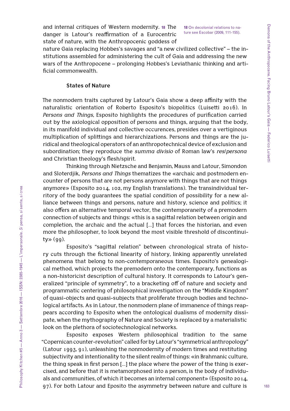and internal critiques of Western modernity. **18** The danger is Latour's reaffirmation of a Eurocentric state of nature, with the Anthropocenic goddess of

**18** On decolonial relations to nature see Escobar (2009, 111-155).

nature Gaia replacing Hobbes's savages and "a new civilized collective" – the institutions assembled for administering the cult of Gaia and addressing the new wars of the Anthropocene – prolonging Hobbes's Leviathanic thinking and artificial commonwealth.

### **States of Nature**

The nonmodern traits captured by Latour's Gaia show a deep affinity with the naturalistic orientation of Roberto Esposito's biopolitics (Luisetti 2016). In *Persons and Things*, Esposito highlights the procedures of purification carried out by the axiological opposition of persons and things, arguing that the body, in its manifold individual and collective occurences, presides over a vertiginous multiplication of splittings and hierarchizations. Persons and things are the juridical and theological operators of an anthropotechnical device of exclusion and subordination; they reproduce the *summa divisio* of Roman law's *res*/*persona*  and Christian theology's flesh/spirit.

Thinking through Nietzsche and Benjamin, Mauss and Latour, Simondon and Sloterdjik, *Persons and Things* thematizes the «archaic and postmodern encounter of persons that are not persons anymore with things that are not things anymore» (Esposito 2014, 102, my English translations). The transindividual territory of the body guarantees the spatial condition of possibility for a new alliance between things and persons, nature and history, science and politics; it also offers an alternative temporal vector, the contemporaneity of a premodern connection of subjects and things: «this is a sagittal relation between origin and completion, the archaic and the actual […] that forces the historian, and even more the philosopher, to look beyond the most visible threshold of discontinui $ty \gg (gg)$ .

Esposito's "sagittal relation" between chronological strata of history cuts through the fictional linearity of history, linking apparently unrelated phenomena that belong to non-contemporaneous times. Esposito's genealogical method, which projects the premodern onto the contemporary, functions as a non-historicist description of cultural history. It corresponds to Latour's generalized "principle of symmetry", to a bracketing off of nature and society and programmatic centering of philosophical investigation on the "Middle Kingdom" of quasi-objects and quasi-subjects that proliferate through bodies and technological artifacts. As in Latour, the nonmodern plane of immanence of things reappears according to Esposito when the ontological dualisms of modernity dissipate, when the mythography of Nature and Society is replaced by a materialistic look on the plethora of sociotechnological networks.

Esposito exposes Western philosophical tradition to the same "Copernican counter-revolution" called for by Latour's "symmetrical anthropology" (Latour 1993, 91), unleashing the nonmodernity of modern times and restituting subjectivity and intentionality to the silent realm of things: «in Brahmanic culture, the thing speak in first person […] the place where the power of the thing is exercised, and before that it is metamorphosed into a person, is the body of individuals and communities, of which it becomes an internal component» (Esposito 2014, 97). For both Latour and Eposito the asymmetry between nature and culture is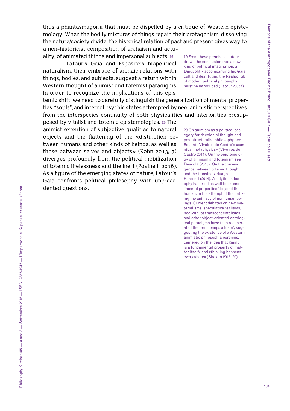thus a phantasmagoria that must be dispelled by a critique of Western epistemology. When the bodily mixtures of things regain their protagonism, dissolving the nature/society divide, the historical relation of past and present gives way to a non-historicist composition of archaism and actu-

ality, of animated things and impersonal subjects. **19**

Latour's Gaia and Esposito's biopolitical naturalism, their embrace of archaic relations with things, bodies, and subjects, suggest a return within Western thought of animist and totemist paradigms. In order to recognize the implications of this epis-

temic shift, we need to carefully distinguish the generalization of mental properties, "souls", and internal psychic states attempted by neo-animistic perspectives from the interspecies continuity of both physicalities and interiorities presup-

posed by vitalist and totemic epistemologies. **20** The animist extention of subjective qualities to natural objects and the flattening of the «distinction between humans and other kinds of beings, as well as those between selves and objects» (Kohn 2013, 7) diverges profoundly from the political mobilization of totemic lifelessness and the inert (Povinelli 2016). As a figure of the emerging states of nature, Latour's Gaia confronts political philosophy with unprecedented questions.

must be introduced (Latour 2005a). **20** On animism as a political category for decolonial thought and poststructuralist philosophy see Eduardo Viveiros de Castro's «cannibal metaphysics» (Viveiros de Castro 2014). On the epistemology of animism and totemism see Descola (2013). On the convergence between totemic thought and the transindividual, see Karsenti (2014). Analytic philosophy has tried as well to extend

**19** From these premises, Latour draws the conclusion that a new kind of political imagination, a Dingpolitik accompanying his Gaia cult and destituting the Realpolitik of modern political philosophy

"mental properties" beyond the human, in the attempt of thematizing the animacy of nonhuman beings. Current debates on new materialisms, speculative realisms, neo-vitalist transcendentalisms, and other object-oriented ontological paradigms have thus recuperated the term 'panpsychism', suggesting the existence of a Western animistic philosophia perennis, centered on the idea that «mind is a fundamental property of matter itself» and «thinking happens

everywhere» (Shaviro 2015, 20).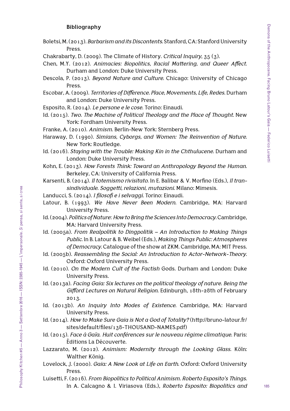## **Bibliography**

- Boletsi, M. (2013). *Barbarism and its Discontents*. Stanford, CA: Stanford University Press.
- Chakrabarty, D. (2009). The Climate of History. *Critical Inquiry*, 35 (3).
- [Chen,](https://www.dukeupress.edu/Catalog/ProductList.php?viewby=author&lastname=Chen&firstname=Mel&middlename=Y.&aID=1163517&sort=) M.Y. (2012). *Animacies: Biopolitics, Racial Mattering, and Queer Affect*. Durham and London: Duke University Press.
- Descola, P. (2013). *Beyond Nature and Culture*. Chicago: University of Chicago Press.
- Escobar, A. (2009). *Territories of Difference. Place, Movements, Life, Redes*. Durham and London: Duke University Press.
- Esposito, R. (2014). *Le persone e le cose*. Torino: Einaudi.
- Id. (2015). *Two. The Machine of Political Theology and the Place of Thought*. New York: Fordham University Press.
- Franke, A. (2010). *Animism*. Berlin-New York: Sternberg Press.
- Haraway, D. (1990). *Simians, Cyborgs, and Women: The Reinvention of Nature*. New York: Routledge.
- Id. (2016). *Staying with the Trouble: Making Kin in the Chthulucene*. Durham and London: Duke University Press.
- Kohn, E. (2013). *How Forests Think: Toward an Anthropology Beyond the Human*. Berkeley, CA: University of California Press.
- Karsenti, B. (2014). *Il totemismo rivisitato*. In E. Balibar & V. Morfino (Eds.), *Il transindividuale. Soggetti, relazioni, mutazioni*. Milano: Mimesis.
- Landucci, S. (2014). *I filosofi e i selvaggi.* Torino: Einaudi.
- Latour, B. (1993). *We Have Never Been Modern*. Cambridge, MA: Harvard University Press.
- Id. (2004). *Politics of Nature*: *How to Bring the Sciences Into Democracy*. Cambridge, MA: Harvard University Press.
- Id. (2005a). *From Realpolitik to Dingpolitik An Introduction to Making Things Public*. In B. Latour & B. Weibel (Eds.), *Making Things Public: Atmospheres of Democracy*. Catalogue of the show at ZKM. Cambridge, MA: MIT Press.
- Id. (2005b). *Reassembling the Social: An Introduction to Actor-Network-Theory*. Oxford: Oxford University Press.
- Id. (2010). *On the Modern Cult of the Factish* Gods. Durham and London: Duke University Press.
- Id. (2013a). *Facing Gaia: Six lectures on the political theology of nature. Being the Gifford Lectures on Natural Religion*. Edinburgh, 18th-28th of February 2013.
- Id. (2013b). *An Inquiry Into Modes of Existence*. Cambridge, MA: Harvard University Press.
- Id. (2014). *How to Make Sure Gaia is Not a God of Totality?* [\(http://bruno-latour.fr/](http://bruno-latour.fr/sites/default/files/138-THOUSAND-NAMES.pdf) [sites/default/files/138-THOUSAND-NAMES.pdf](http://bruno-latour.fr/sites/default/files/138-THOUSAND-NAMES.pdf))
- Id. (2015). *Face à Gaïa. Huit conférences sur le nouveau régime climatique*. Paris: Éditions La Découverte.
- Lazzarato, M. (2012). *Animism: Modernity through the Looking Glass*. Köln: Walther König.
- Lovelock, J. (2000). *Gaia: A New Look at Life on Earth*. Oxford: Oxford University Press.
- Luisetti, F. (2016). *From Biopolitics to Political Animism. Roberto Esposito's Things*. In A. Calcagno & I. Viriasova (Eds.), *Roberto Esposito: Biopolitics and*